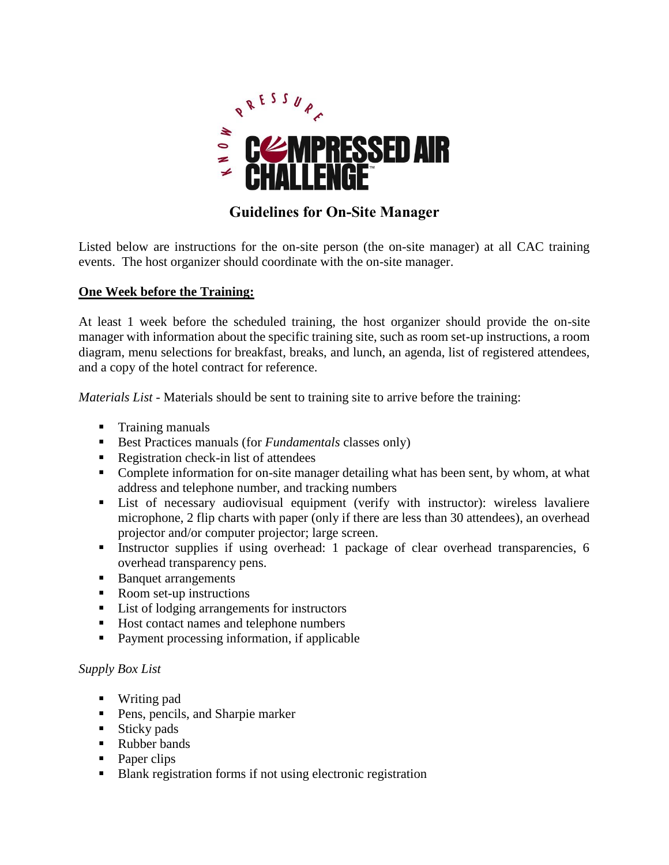

# **Guidelines for On-Site Manager**

Listed below are instructions for the on-site person (the on-site manager) at all CAC training events. The host organizer should coordinate with the on-site manager.

### **One Week before the Training:**

At least 1 week before the scheduled training, the host organizer should provide the on-site manager with information about the specific training site, such as room set-up instructions, a room diagram, menu selections for breakfast, breaks, and lunch, an agenda, list of registered attendees, and a copy of the hotel contract for reference.

*Materials List -* Materials should be sent to training site to arrive before the training:

- **Training manuals**
- Best Practices manuals (for *Fundamentals* classes only)
- Registration check-in list of attendees
- Complete information for on-site manager detailing what has been sent, by whom, at what address and telephone number, and tracking numbers
- List of necessary audiovisual equipment (verify with instructor): wireless lavaliere microphone, 2 flip charts with paper (only if there are less than 30 attendees), an overhead projector and/or computer projector; large screen.
- Instructor supplies if using overhead: 1 package of clear overhead transparencies, 6 overhead transparency pens.
- Banquet arrangements
- Room set-up instructions
- List of lodging arrangements for instructors
- Host contact names and telephone numbers
- Payment processing information, if applicable

#### *Supply Box List*

- Writing pad
- **Pens, pencils, and Sharpie marker**
- $\blacksquare$  Sticky pads
- Rubber bands
- Paper clips
- Blank registration forms if not using electronic registration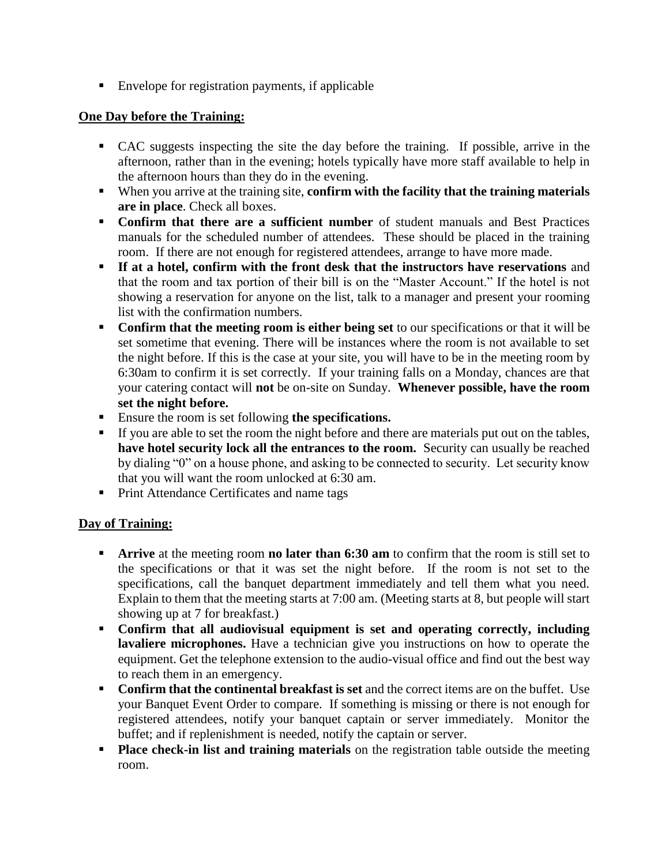■ Envelope for registration payments, if applicable

### **One Day before the Training:**

- CAC suggests inspecting the site the day before the training. If possible, arrive in the afternoon, rather than in the evening; hotels typically have more staff available to help in the afternoon hours than they do in the evening.
- When you arrive at the training site, **confirm with the facility that the training materials are in place**. Check all boxes.
- **Confirm that there are a sufficient number** of student manuals and Best Practices manuals for the scheduled number of attendees. These should be placed in the training room. If there are not enough for registered attendees, arrange to have more made.
- **If at a hotel, confirm with the front desk that the instructors have reservations** and that the room and tax portion of their bill is on the "Master Account." If the hotel is not showing a reservation for anyone on the list, talk to a manager and present your rooming list with the confirmation numbers.
- **Confirm that the meeting room is either being set** to our specifications or that it will be set sometime that evening. There will be instances where the room is not available to set the night before. If this is the case at your site, you will have to be in the meeting room by 6:30am to confirm it is set correctly. If your training falls on a Monday, chances are that your catering contact will **not** be on-site on Sunday. **Whenever possible, have the room set the night before.**
- Ensure the room is set following **the specifications.**
- If you are able to set the room the night before and there are materials put out on the tables, **have hotel security lock all the entrances to the room.** Security can usually be reached by dialing "0" on a house phone, and asking to be connected to security. Let security know that you will want the room unlocked at 6:30 am.
- **Print Attendance Certificates and name tags**

### **Day of Training:**

- **Arrive** at the meeting room **no later than 6:30 am** to confirm that the room is still set to the specifications or that it was set the night before. If the room is not set to the specifications, call the banquet department immediately and tell them what you need. Explain to them that the meeting starts at 7:00 am. (Meeting starts at 8, but people will start showing up at 7 for breakfast.)
- **Confirm that all audiovisual equipment is set and operating correctly, including lavaliere microphones.** Have a technician give you instructions on how to operate the equipment. Get the telephone extension to the audio-visual office and find out the best way to reach them in an emergency.
- **Confirm that the continental breakfast is set** and the correct items are on the buffet. Use your Banquet Event Order to compare. If something is missing or there is not enough for registered attendees, notify your banquet captain or server immediately. Monitor the buffet; and if replenishment is needed, notify the captain or server.
- **Place check-in list and training materials** on the registration table outside the meeting room.